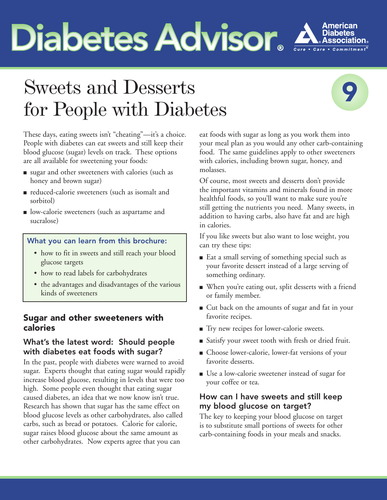# **Diabetes Advisor Advisor**



## Sweets and Desserts for People with Diabetes



These days, eating sweets isn't "cheating"—it's a choice. People with diabetes can eat sweets and still keep their blood glucose (sugar) levels on track. These options are all available for sweetening your foods:

- sugar and other sweeteners with calories (such as honey and brown sugar)
- reduced-calorie sweeteners (such as isomalt and sorbitol)
- low-calorie sweeteners (such as aspartame and sucralose)

#### What you can learn from this brochure:

- how to fit in sweets and still reach your blood glucose targets
- how to read labels for carbohydrates
- the advantages and disadvantages of the various kinds of sweeteners

#### **Sugar and other sweeteners with calories**

#### What's the latest word: Should people with diabetes eat foods with sugar?

In the past, people with diabetes were warned to avoid sugar. Experts thought that eating sugar would rapidly increase blood glucose, resulting in levels that were too high. Some people even thought that eating sugar caused diabetes, an idea that we now know isn't true. Research has shown that sugar has the same effect on blood glucose levels as other carbohydrates, also called carbs, such as bread or potatoes. Calorie for calorie, sugar raises blood glucose about the same amount as other carbohydrates. Now experts agree that you can

eat foods with sugar as long as you work them into your meal plan as you would any other carb-containing food. The same guidelines apply to other sweeteners with calories, including brown sugar, honey, and molasses.

Of course, most sweets and desserts don't provide the important vitamins and minerals found in more healthful foods, so you'll want to make sure you're still getting the nutrients you need. Many sweets, in addition to having carbs, also have fat and are high in calories.

If you like sweets but also want to lose weight, you can try these tips:

- Eat a small serving of something special such as your favorite dessert instead of a large serving of something ordinary.
- **■** When you're eating out, split desserts with a friend or family member.
- **■** Cut back on the amounts of sugar and fat in your favorite recipes.
- Try new recipes for lower-calorie sweets.
- **■** Satisfy your sweet tooth with fresh or dried fruit.
- Choose lower-calorie, lower-fat versions of your favorite desserts.
- Use a low-calorie sweetener instead of sugar for your coffee or tea.

#### How can I have sweets and still keep my blood glucose on target?

The key to keeping your blood glucose on target is to substitute small portions of sweets for other carb-containing foods in your meals and snacks.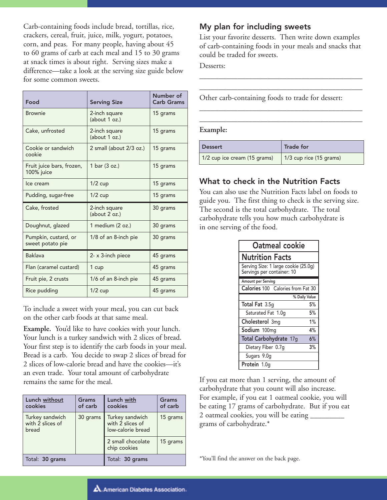Carb-containing foods include bread, tortillas, rice, crackers, cereal, fruit, juice, milk, yogurt, potatoes, corn, and peas. For many people, having about 45 to 60 grams of carb at each meal and 15 to 30 grams at snack times is about right. Serving sizes make a difference—take a look at the serving size guide below for some common sweets.

| Food                                     | <b>Serving Size</b>            | Number of<br><b>Carb Grams</b> |
|------------------------------------------|--------------------------------|--------------------------------|
| <b>Brownie</b>                           | 2-inch square<br>(about 1 oz.) | 15 grams                       |
| Cake, unfrosted                          | 2-inch square<br>(about 1 oz.) | 15 grams                       |
| Cookie or sandwich<br>cookie             | 2 small (about 2/3 oz.)        | 15 grams                       |
| Fruit juice bars, frozen,<br>100% juice  | 1 bar (3 oz.)                  | 15 grams                       |
| Ice cream                                | $1/2$ cup                      | 15 grams                       |
| Pudding, sugar-free                      | $1/2$ cup                      | 15 grams                       |
| Cake, frosted                            | 2-inch square<br>(about 2 oz.) | 30 grams                       |
| Doughnut, glazed                         | 1 medium (2 oz.)               | 30 grams                       |
| Pumpkin, custard, or<br>sweet potato pie | 1/8 of an 8-inch pie           | 30 grams                       |
| <b>Baklava</b>                           | 2- x 3-inch piece              | 45 grams                       |
| Flan (caramel custard)                   | 1 cup                          | 45 grams                       |
| Fruit pie, 2 crusts                      | 1/6 of an 8-inch pie           | 45 grams                       |
| Rice pudding                             | $1/2$ cup                      | 45 grams                       |

To include a sweet with your meal, you can cut back on the other carb foods at that same meal.

**Example.** You'd like to have cookies with your lunch. Your lunch is a turkey sandwich with 2 slices of bread. Your first step is to identify the carb foods in your meal. Bread is a carb. You decide to swap 2 slices of bread for 2 slices of low-calorie bread and have the cookies—it's an even trade. Your total amount of carbohydrate remains the same for the meal.

| Lunch without<br>cookies                     | Grams<br>of carb | Lunch with<br>cookies                                    | Grams<br>of carb |
|----------------------------------------------|------------------|----------------------------------------------------------|------------------|
| Turkey sandwich<br>with 2 slices of<br>bread | 30 grams         | Turkey sandwich<br>with 2 slices of<br>low-calorie bread | 15 grams         |
|                                              |                  | 2 small chocolate<br>chip cookies                        | 15 grams         |
| Total: 30 grams                              |                  | Total: 30 grams                                          |                  |

#### My plan for including sweets

List your favorite desserts. Then write down examples of carb-containing foods in your meals and snacks that could be traded for sweets.

\_\_\_\_\_\_\_\_\_\_\_\_\_\_\_\_\_\_\_\_\_\_\_\_\_\_\_\_\_\_\_\_\_\_\_\_\_\_\_\_\_\_\_ \_\_\_\_\_\_\_\_\_\_\_\_\_\_\_\_\_\_\_\_\_\_\_\_\_\_\_\_\_\_\_\_\_\_\_\_\_\_\_\_\_\_\_

\_\_\_\_\_\_\_\_\_\_\_\_\_\_\_\_\_\_\_\_\_\_\_\_\_\_\_\_\_\_\_\_\_\_\_\_\_\_\_\_\_\_\_ \_\_\_\_\_\_\_\_\_\_\_\_\_\_\_\_\_\_\_\_\_\_\_\_\_\_\_\_\_\_\_\_\_\_\_\_\_\_\_\_\_\_\_

Desserts:

Other carb-containing foods to trade for dessert:

#### **Example:**

| <b>Dessert</b>               | <b>Trade for</b>                |
|------------------------------|---------------------------------|
| 1/2 cup ice cream (15 grams) | $\vert$ 1/3 cup rice (15 grams) |

#### What to check in the Nutrition Facts

You can also use the Nutrition Facts label on foods to guide you. The first thing to check is the serving size. The second is the total carbohydrate. The total carbohydrate tells you how much carbohydrate is in one serving of the food.

| Oatmeal cookie                                                     |               |
|--------------------------------------------------------------------|---------------|
| <b>Nutrition Facts</b>                                             |               |
| Serving Size: 1 large cookie (25.0g)<br>Servings per container: 10 |               |
| Amount per Serving                                                 |               |
| Calories 100 Calories from Fat 30                                  |               |
|                                                                    | % Daily Value |
| Total Fat 3.5g                                                     | 5%            |
| Saturated Fat 1.0g                                                 | 5%            |
| Cholesterol 3mg                                                    | 1%            |
| Sodium 100mg                                                       | 4%            |
| Total Carbohydrate 17g                                             | 6%            |
| Dietary Fiber 0.7g                                                 | 3%            |
| Sugars 9.0g                                                        |               |
| Protein 1.0q                                                       |               |

If you eat more than 1 serving, the amount of carbohydrate that you count will also increase. For example, if you eat 1 oatmeal cookie, you will be eating 17 grams of carbohydrate. But if you eat 2 oatmeal cookies, you will be eating \_\_\_\_\_\_\_\_\_ grams of carbohydrate.\*

\*You'll find the answer on the back page.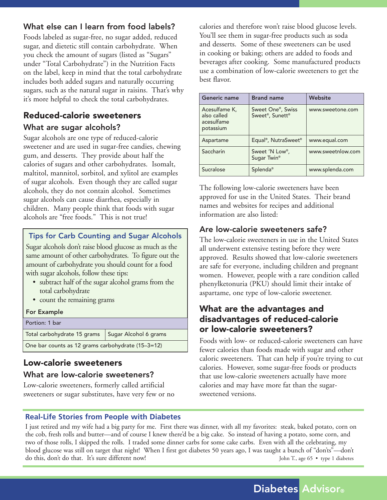#### What else can I learn from food labels?

Foods labeled as sugar-free, no sugar added, reduced sugar, and dietetic still contain carbohydrate. When you check the amount of sugars (listed as "Sugars" under "Total Carbohydrate") in the Nutrition Facts on the label, keep in mind that the total carbohydrate includes both added sugars and naturally occurring sugars, such as the natural sugar in raisins. That's why it's more helpful to check the total carbohydrates.

### **Reduced-calorie sweeteners**

#### What are sugar alcohols?

Sugar alcohols are one type of reduced-calorie sweetener and are used in sugar-free candies, chewing gum, and desserts. They provide about half the calories of sugars and other carbohydrates. Isomalt, maltitol, mannitol, sorbitol, and xylitol are examples of sugar alcohols. Even though they are called sugar alcohols, they do not contain alcohol. Sometimes sugar alcohols can cause diarrhea, especially in children. Many people think that foods with sugar alcohols are "free foods." This is not true!

#### Tips for Carb Counting and Sugar Alcohols

Sugar alcohols don't raise blood glucose as much as the same amount of other carbohydrates. To figure out the amount of carbohydrate you should count for a food with sugar alcohols, follow these tips:

- subtract half of the sugar alcohol grams from the total carbohydrate
- count the remaining grams

#### For Example

| Portion: 1 bar                                      |  |
|-----------------------------------------------------|--|
| Total carbohydrate 15 grams   Sugar Alcohol 6 grams |  |
| One bar counts as 12 grams carbohydrate (15-3=12)   |  |

#### **Low-calorie sweeteners**

#### What are low-calorie sweeteners?

Low-calorie sweeteners, formerly called artificial sweeteners or sugar substitutes, have very few or no calories and therefore won't raise blood glucose levels. You'll see them in sugar-free products such as soda and desserts. Some of these sweeteners can be used in cooking or baking; others are added to foods and beverages after cooking. Some manufactured products use a combination of low-calorie sweeteners to get the best flavor.

| Generic name                                            | <b>Brand name</b>                                 | Website           |
|---------------------------------------------------------|---------------------------------------------------|-------------------|
| Acesulfame K,<br>also called<br>acesulfame<br>potassium | Sweet One <sup>®</sup> , Swiss<br>Sweet®, Sunett® | www.sweetone.com  |
| Aspartame                                               | Equal <sup>®</sup> , NutraSweet <sup>®</sup>      | www.equal.com     |
| Saccharin                                               | Sweet 'N Low®,<br>Sugar Twin <sup>®</sup>         | www.sweetnlow.com |
| Sucralose                                               | Splenda <sup>®</sup>                              | www.splenda.com   |

The following low-calorie sweeteners have been approved for use in the United States. Their brand names and websites for recipes and additional information are also listed:

#### Are low-calorie sweeteners safe?

The low-calorie sweeteners in use in the United States all underwent extensive testing before they were approved. Results showed that low-calorie sweeteners are safe for everyone, including children and pregnant women. However, people with a rare condition called phenylketonuria (PKU) should limit their intake of aspartame, one type of low-calorie sweetener.

#### **What are the advantages and disadvantages of reduced-calorie or low-calorie sweeteners?**

Foods with low- or reduced-calorie sweeteners can have fewer calories than foods made with sugar and other caloric sweeteners. That can help if you're trying to cut calories. However, some sugar-free foods or products that use low-calorie sweeteners actually have more calories and may have more fat than the sugarsweetened versions.

#### **Real-Life Stories from People with Diabetes**

I just retired and my wife had a big party for me. First there was dinner, with all my favorites: steak, baked potato, corn on the cob, fresh rolls and butter—and of course I knew there'd be a big cake. So instead of having a potato, some corn, and two of those rolls, I skipped the rolls. I traded some dinner carbs for some cake carbs. Even with all the celebrating, my blood glucose was still on target that night! When I first got diabetes 50 years ago, I was taught a bunch of "don'ts"—don't do this, don't do that. It's sure different now! John T., age 65 • type 1 diabetes